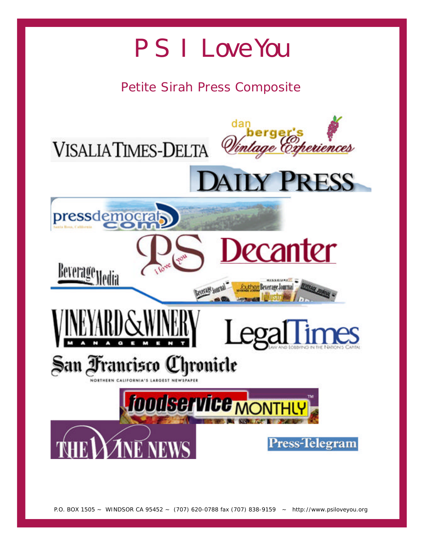# PS I Love You

# *Petite Sirah Press Composite*

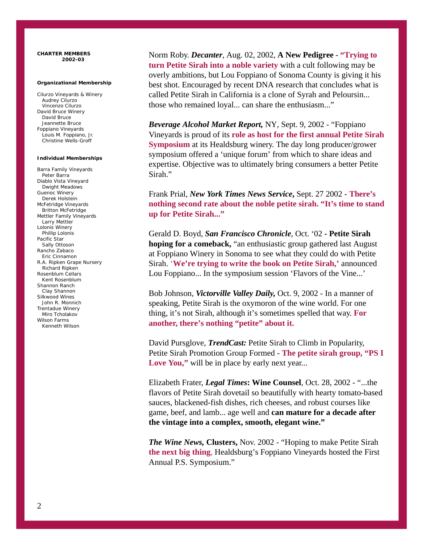#### **CHARTER MEMBERS 2002-03**

### **Organizational Membership**

Cilurzo Vineyards & Winery Audrey Cilurzo Vincenzo Cilurzo David Bruce Winery David Bruce Jeannette Bruce Foppiano Vineyards Louis M. Foppiano, Jr. Christine Wells-Groff

# **Individual Memberships**

Barra Family Vineyards Peter Barra Diablo Vista Vineyard Dwight Meadows Guenoc Winery Derek Holstein McFetridge Vineyards Britton McFetridge Mettler Family Vineyards Larry Mettler Lolonis Winery Phillip Lolonis Pacific Star Sally Ottoson Rancho Zabaco Eric Cinnamon R.A. Ripken Grape Nursery Richard Ripken Rosenblum Cellars Kent Rosenblum Shannon Ranch Clay Shannon Silkwood Wines John R. Monnich Trentadue Winery Miro Tcholakov Wilson Farms Kenneth Wilson

Norm Roby. *Decanter,* Aug. 02, 2002, **A New Pedigree** - **"Trying to turn Petite Sirah into a noble variety** with a cult following may be overly ambitions, but Lou Foppiano of Sonoma County is giving it his best shot. Encouraged by recent DNA research that concludes what is called Petite Sirah in California is a clone of Syrah and Peloursin... those who remained loyal... can share the enthusiasm..."

*Beverage Alcohol Market Report,* NY, Sept. 9, 2002 - "Foppiano Vineyards is proud of its **role as host for the first annual Petite Sirah Symposium** at its Healdsburg winery. The day long producer/grower symposium offered a 'unique forum' from which to share ideas and expertise. Objective was to ultimately bring consumers a better Petite Sirah."

Frank Prial, *New York Times News Service***,** Sept. 27 2002 - **There's nothing second rate about the noble petite sirah. "It's time to stand up for Petite Sirah..."**

Gerald D. Boyd, *San Francisco Chronicle*, Oct. '02 **- Petite Sirah hoping for a comeback,** "an enthusiastic group gathered last August at Foppiano Winery in Sonoma to see what they could do with Petite Sirah. '**We're trying to write the book on Petite Sirah,'** announced Lou Foppiano... In the symposium session 'Flavors of the Vine...'

Bob Johnson, *Victorville Valley Daily,* Oct. 9, 2002 - In a manner of speaking, Petite Sirah is the oxymoron of the wine world. For one thing, it's not Sirah, although it's sometimes spelled that way. **For another, there's nothing "petite" about it.**

David Pursglove, *TrendCast:* Petite Sirah to Climb in Popularity, Petite Sirah Promotion Group Formed - **The petite sirah group, "PS I** Love You," will be in place by early next year...

Elizabeth Frater, *Legal Times***: Wine Counsel**, Oct. 28, 2002 - "...the flavors of Petite Sirah dovetail so beautifully with hearty tomato-based sauces, blackened-fish dishes, rich cheeses, and robust courses like game, beef, and lamb... age well and **can mature for a decade after the vintage into a complex, smooth, elegant wine."**

*The Wine News,* **Clusters,** Nov. 2002 - "Hoping to make Petite Sirah **the next big thing**, Healdsburg's Foppiano Vineyards hosted the First Annual P.S. Symposium."